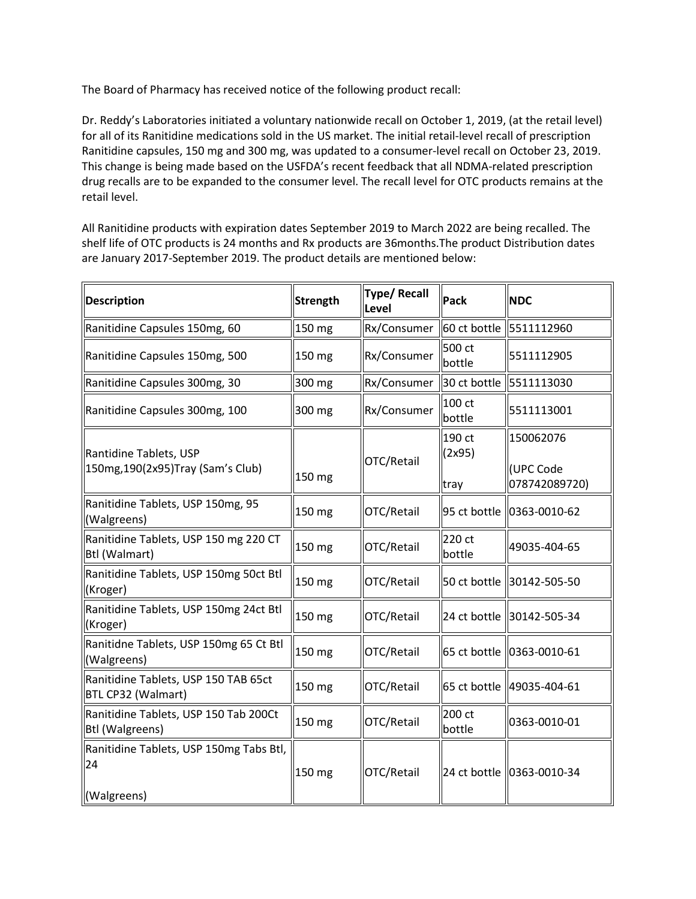The Board of Pharmacy has received notice of the following product recall:

 Dr. Reddy's Laboratories initiated a voluntary nationwide recall on October 1, 2019, (at the retail level) for all of its Ranitidine medications sold in the US market. The initial retail-level recall of prescription Ranitidine capsules, 150 mg and 300 mg, was updated to a consumer-level recall on October 23, 2019. This change is being made based on the USFDA's recent feedback that all NDMA-related prescription drug recalls are to be expanded to the consumer level. The recall level for OTC products remains at the retail level.

 All Ranitidine products with expiration dates September 2019 to March 2022 are being recalled. The shelf life of OTC products is 24 months and Rx products are 36months.The product Distribution dates are January 2017-September 2019. The product details are mentioned below:

| <b>Description</b>                                              | Strength | <b>Type/Recall</b><br>Level | Pack                     | <b>NDC</b>                              |
|-----------------------------------------------------------------|----------|-----------------------------|--------------------------|-----------------------------------------|
| Ranitidine Capsules 150mg, 60                                   | 150 mg   | Rx/Consumer                 |                          | 60 ct bottle 5511112960                 |
| Ranitidine Capsules 150mg, 500                                  | 150 mg   | Rx/Consumer                 | 500 ct<br>bottle         | 5511112905                              |
| Ranitidine Capsules 300mg, 30                                   | 300 mg   | Rx/Consumer                 |                          | 30 ct bottle 5511113030                 |
| Ranitidine Capsules 300mg, 100                                  | 300 mg   | Rx/Consumer                 | 100 ct<br>bottle         | 5511113001                              |
| Rantidine Tablets, USP<br>150mg, 190(2x95) Tray (Sam's Club)    | 150 mg   | OTC/Retail                  | 190 ct<br>(2x95)<br>tray | 150062076<br>(UPC Code<br>078742089720) |
| Ranitidine Tablets, USP 150mg, 95<br>(Walgreens)                | 150 mg   | OTC/Retail                  |                          | 95 ct bottle 0363-0010-62               |
| Ranitidine Tablets, USP 150 mg 220 CT<br>Btl (Walmart)          | 150 mg   | OTC/Retail                  | 220 ct<br>bottle         | 49035-404-65                            |
| Ranitidine Tablets, USP 150mg 50ct Btl<br>(Kroger)              | 150 mg   | OTC/Retail                  |                          | 50 ct bottle 30142-505-50               |
| Ranitidine Tablets, USP 150mg 24ct Btl<br>(Kroger)              | 150 mg   | OTC/Retail                  |                          | 24 ct bottle 30142-505-34               |
| Ranitidne Tablets, USP 150mg 65 Ct Btl<br>(Walgreens)           | 150 mg   | OTC/Retail                  |                          | 65 ct bottle 0363-0010-61               |
| Ranitidine Tablets, USP 150 TAB 65ct<br>BTL CP32 (Walmart)      | 150 mg   | OTC/Retail                  |                          | 65 ct bottle  49035-404-61              |
| Ranitidine Tablets, USP 150 Tab 200Ct<br><b>Btl (Walgreens)</b> | 150 mg   | OTC/Retail                  | 200 ct<br>bottle         | 0363-0010-01                            |
| Ranitidine Tablets, USP 150mg Tabs Btl,<br>24                   | 150 mg   | OTC/Retail                  |                          | 24 ct bottle 0363-0010-34               |
| (Walgreens)                                                     |          |                             |                          |                                         |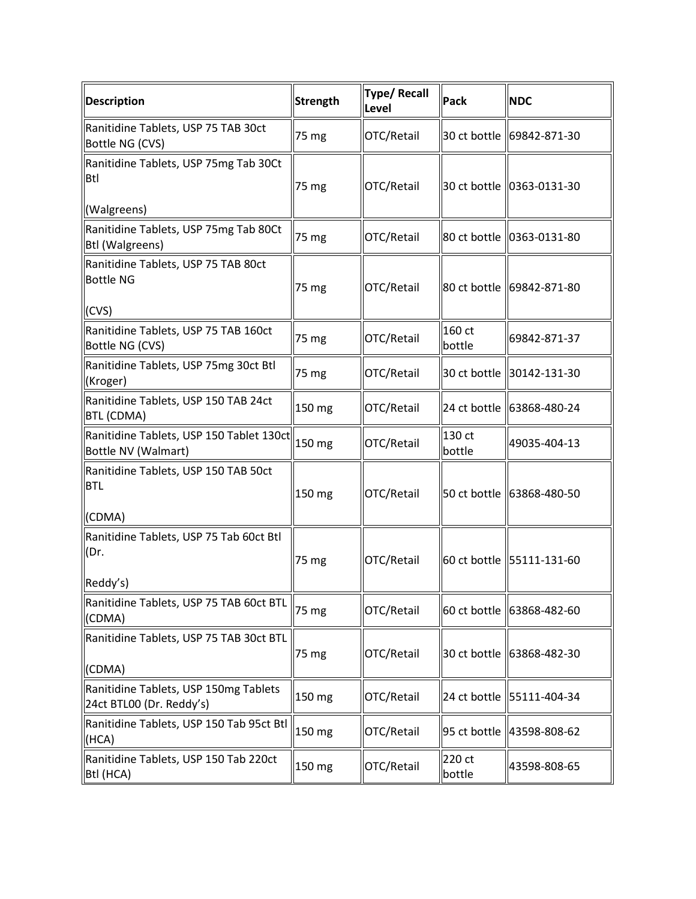| <b>Description</b>                                                 | <b>Strength</b> | <b>Type/Recall</b><br>Level | Pack             | <b>NDC</b>                  |
|--------------------------------------------------------------------|-----------------|-----------------------------|------------------|-----------------------------|
| Ranitidine Tablets, USP 75 TAB 30ct<br>Bottle NG (CVS)             | 75 mg           | OTC/Retail                  |                  | 30 ct bottle (69842-871-30) |
| Ranitidine Tablets, USP 75mg Tab 30Ct<br><b>Btl</b><br>(Walgreens) | 75 mg           | OTC/Retail                  |                  | 30 ct bottle 0363-0131-30   |
| Ranitidine Tablets, USP 75mg Tab 80Ct<br><b>Btl (Walgreens)</b>    | 75 mg           | OTC/Retail                  |                  | 80 ct bottle 0363-0131-80   |
| Ranitidine Tablets, USP 75 TAB 80ct<br><b>Bottle NG</b>            | 75 mg           | OTC/Retail                  |                  | 80 ct bottle 69842-871-80   |
| (CVS)<br>Ranitidine Tablets, USP 75 TAB 160ct<br>Bottle NG (CVS)   | 75 mg           | OTC/Retail                  | 160 ct<br>bottle | 69842-871-37                |
| Ranitidine Tablets, USP 75mg 30ct Btl<br>(Kroger)                  | 75 mg           | OTC/Retail                  |                  | 30 ct bottle 30142-131-30   |
| Ranitidine Tablets, USP 150 TAB 24ct<br><b>BTL (CDMA)</b>          | 150 mg          | OTC/Retail                  |                  |                             |
| Ranitidine Tablets, USP 150 Tablet 130ct<br>Bottle NV (Walmart)    | 150 mg          | OTC/Retail                  | 130 ct<br>bottle | 49035-404-13                |
| Ranitidine Tablets, USP 150 TAB 50ct<br><b>BTL</b><br>(CDMA)       | 150 mg          | OTC/Retail                  |                  | 50 ct bottle 63868-480-50   |
| Ranitidine Tablets, USP 75 Tab 60ct Btl<br>(Dr.<br>Reddy's)        | 75 mg           | OTC/Retail                  |                  | 60 ct bottle 55111-131-60   |
| Ranitidine Tablets, USP 75 TAB 60ct BTL<br>(CDMA)                  | 75 mg           | OTC/Retail                  |                  | 60 ct bottle 63868-482-60   |
| Ranitidine Tablets, USP 75 TAB 30ct BTL<br>(CDMA)                  | 75 mg           | OTC/Retail                  |                  | 30 ct bottle 63868-482-30   |
| Ranitidine Tablets, USP 150mg Tablets<br>24ct BTL00 (Dr. Reddy's)  | 150 mg          | OTC/Retail                  |                  | 24 ct bottle   55111-404-34 |
| Ranitidine Tablets, USP 150 Tab 95ct Btl<br>(HCA)                  | 150 mg          | OTC/Retail                  |                  | 95 ct bottle 43598-808-62   |
| Ranitidine Tablets, USP 150 Tab 220ct<br>Btl (HCA)                 | 150 mg          | OTC/Retail                  | 220 ct<br>bottle | 43598-808-65                |